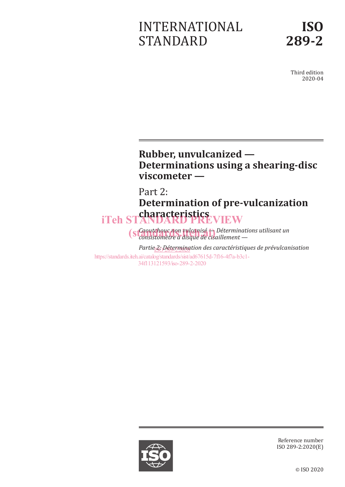# INTERNATIONAL STANDARD

Third edition 2020-04

## **Rubber, unvulcanized — Determinations using a shearing-disc viscometer —**

Part 2: **Determination of pre-vulcanization characteristics** iTeh STANDARD PREVIEW

**(S** Caoutchouc non vulcanisé — Déterminations utilisant un<br>
consistemètre à disque de cisaillement *consistomètre à disque de cisaillement —*

*Partie 2: Détermination des caractéristiques de prévulcanisation* ISO 289-2:2020

https://standards.iteh.ai/catalog/standards/sist/ad67615d-7f16-4f7a-b3c1- 34f113121593/iso-289-2-2020



Reference number ISO 289-2:2020(E)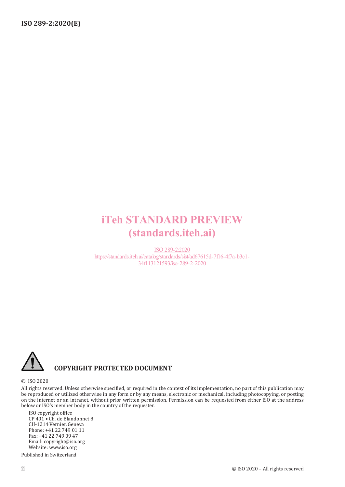## iTeh STANDARD PREVIEW (standards.iteh.ai)

ISO 289-2:2020 https://standards.iteh.ai/catalog/standards/sist/ad67615d-7f16-4f7a-b3c1- 34f113121593/iso-289-2-2020



#### **COPYRIGHT PROTECTED DOCUMENT**

#### © ISO 2020

All rights reserved. Unless otherwise specified, or required in the context of its implementation, no part of this publication may be reproduced or utilized otherwise in any form or by any means, electronic or mechanical, including photocopying, or posting on the internet or an intranet, without prior written permission. Permission can be requested from either ISO at the address below or ISO's member body in the country of the requester.

ISO copyright office CP 401 • Ch. de Blandonnet 8 CH-1214 Vernier, Geneva Phone: +41 22 749 01 11 Fax: +41 22 749 09 47 Email: copyright@iso.org Website: www.iso.org

Published in Switzerland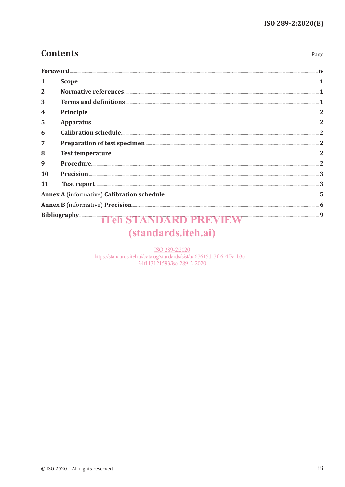Page

## **Contents**

| 1  | $\textbf{Scope} \texttt{} \texttt{} \texttt{} \texttt{} \texttt{} \texttt{} \texttt{} \texttt{} \texttt{} \texttt{} \texttt{} \texttt{} \texttt{} \texttt{} \texttt{} \texttt{} \texttt{} \texttt{} \texttt{} \texttt{} \texttt{} \texttt{} \texttt{} \texttt{} \texttt{} \texttt{} \texttt{} \texttt{} \texttt{} \texttt{} \texttt{} \texttt{} \texttt{} \texttt{} \texttt{} \texttt{$ |  |
|----|-----------------------------------------------------------------------------------------------------------------------------------------------------------------------------------------------------------------------------------------------------------------------------------------------------------------------------------------------------------------------------------------|--|
|    |                                                                                                                                                                                                                                                                                                                                                                                         |  |
| 3  |                                                                                                                                                                                                                                                                                                                                                                                         |  |
|    |                                                                                                                                                                                                                                                                                                                                                                                         |  |
| 5  |                                                                                                                                                                                                                                                                                                                                                                                         |  |
| 6  |                                                                                                                                                                                                                                                                                                                                                                                         |  |
| 7  |                                                                                                                                                                                                                                                                                                                                                                                         |  |
| 8  |                                                                                                                                                                                                                                                                                                                                                                                         |  |
| 9  |                                                                                                                                                                                                                                                                                                                                                                                         |  |
| 10 | Precision 33                                                                                                                                                                                                                                                                                                                                                                            |  |
| 11 |                                                                                                                                                                                                                                                                                                                                                                                         |  |
|    | Annex A (informative) Calibration schedule                                                                                                                                                                                                                                                                                                                                              |  |
|    |                                                                                                                                                                                                                                                                                                                                                                                         |  |
|    | Bibliography iTch STANDARD PREVIEW                                                                                                                                                                                                                                                                                                                                                      |  |
|    |                                                                                                                                                                                                                                                                                                                                                                                         |  |

# (standards.iteh.ai)

ISO 289-2:2020 https://standards.iteh.ai/catalog/standards/sist/ad67615d-7f16-4f7a-b3c1-34f113121593/iso-289-2-2020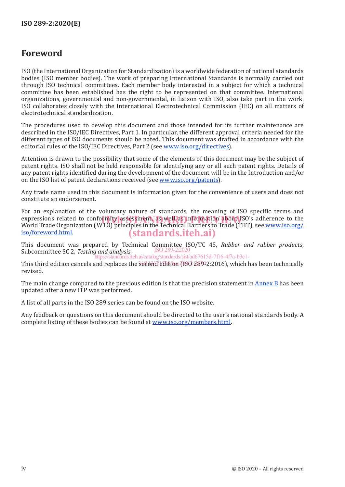## **Foreword**

ISO (the International Organization for Standardization) is a worldwide federation of national standards bodies (ISO member bodies). The work of preparing International Standards is normally carried out through ISO technical committees. Each member body interested in a subject for which a technical committee has been established has the right to be represented on that committee. International organizations, governmental and non-governmental, in liaison with ISO, also take part in the work. ISO collaborates closely with the International Electrotechnical Commission (IEC) on all matters of electrotechnical standardization.

The procedures used to develop this document and those intended for its further maintenance are described in the ISO/IEC Directives, Part 1. In particular, the different approval criteria needed for the different types of ISO documents should be noted. This document was drafted in accordance with the editorial rules of the ISO/IEC Directives, Part 2 (see www.iso.org/directives).

Attention is drawn to the possibility that some of the elements of this document may be the subject of patent rights. ISO shall not be held responsible for identifying any or all such patent rights. Details of any patent rights identified during the development of the document will be in the Introduction and/or on the ISO list of patent declarations received (see www.iso.org/patents).

Any trade name used in this document is information given for the convenience of users and does not constitute an endorsement.

For an explanation of the voluntary nature of standards, the meaning of ISO specific terms and expressions related to conformity assessment, as well as information about ISO's adherence to the<br>World Trade Organization (WTO) principles in the Technical Barriers to Trade (TBT), see www.iso.org/ World Trade Organization (WTO) principles in the Technical Barriers to Trade (TBT), see www.iso.org/ iso/foreword.html. (standards.iteh.ai)

This document was prepared by Technical Committee ISO/TC 45, *Rubber and rubber products*, Subcommittee SC 2, *Testing and analysis*. ISO 289-2:2020 https://standards.iteh.ai/catalog/standards/sist/ad67615d-7f16-4f7a-b3c1-

This third edition cancels and replaces the second edition (ISO-28912:2016), which has been technically revised.

The main change compared to the previous edition is that the precision statement in Annex B has been updated after a new ITP was performed.

A list of all parts in the ISO 289 series can be found on the ISO website.

Any feedback or questions on this document should be directed to the user's national standards body. A complete listing of these bodies can be found at www.iso.org/members.html.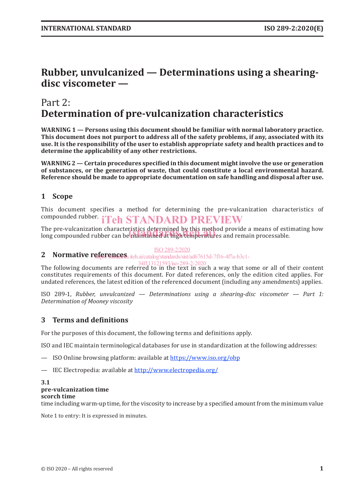## **Rubber, unvulcanized — Determinations using a shearingdisc viscometer —**

## Part 2: **Determination of pre-vulcanization characteristics**

**WARNING 1 — Persons using this document should be familiar with normal laboratory practice. This document does not purport to address all of the safety problems, if any, associated with its use. It is the responsibility of the user to establish appropriate safety and health practices and to determine the applicability of any other restrictions.**

**WARNING 2 — Certain procedures specified in this document mightinvolve the use or generation of substances, or the generation of waste, that could constitute a local environmental hazard. Reference should be made to appropriate documentation on safe handling and disposal after use.**

#### **1 Scope**

This document specifies a method for determining the pre-vulcanization characteristics of compounded rubber. iTeh STANDARD PREVIEW

The pre-vulcanization characteristics determined by this method provide a means of estimating how The pre-vulcanization characteristics determined by this method provide a means of esti<br>long compounded rubber can be maintained at high temperatures and remain processable.

#### ISO 289-2:2020

#### **2 Normative references** iteh.ai/catalog/standards/sist/ad67615d-7f16-4f7a-b3c1-

The following documents are referred to in the text in such a way that some or all of their content constitutes requirements of this document. For dated references, only the edition cited applies. For undated references, the latest edition of the referenced document (including any amendments) applies. 34f113121593/iso-289-2-2020

ISO 289-1, *Rubber, unvulcanized — Determinations using a shearing-disc viscometer — Part 1: Determination of Mooney viscosity*

#### **3 Terms and definitions**

For the purposes of this document, the following terms and definitions apply.

ISO and IEC maintain terminological databases for use in standardization at the following addresses:

- ISO Online browsing platform: available at https://www.iso.org/obp
- IEC Electropedia: available at http://www.electropedia.org/

#### **3.1 pre-vulcanization time**

#### **scorch time**

time including warm-up time, for the viscosity to increase by a specified amount from the minimum value

Note 1 to entry: It is expressed in minutes.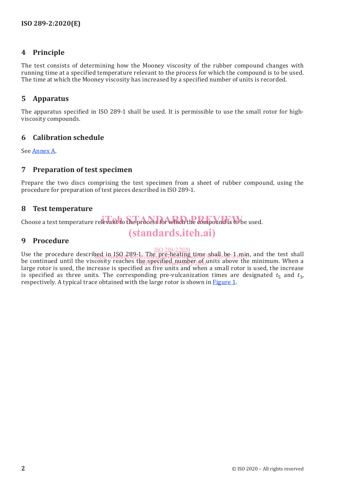#### **4 Principle**

The test consists of determining how the Mooney viscosity of the rubber compound changes with running time at a specified temperature relevant to the process for which the compound is to be used. The time at which the Mooney viscosity has increased by a specified number of units is recorded.

#### **5 Apparatus**

The apparatus specified in ISO 289-1 shall be used. It is permissible to use the small rotor for highviscosity compounds.

#### **6 Calibration schedule**

See Annex A.

#### **7 Preparation of test specimen**

Prepare the two discs comprising the test specimen from a sheet of rubber compound, using the procedure for preparation of test pieces described in ISO 289-1.

#### **8 Test temperature**

Choose a test temperature relevant to the process for which the compound is to be used.

#### **9 Procedure**

## (standards.iteh.ai)

Use the procedure described in ISO 289-1. The pre-heating time shall be 1 min, and the test shall be continued until the viscosity reaches the specified number  $\theta$  units above the minimum. When a large rotor is used, the increase is specified as five units and when a small rotor is used, the increase is specified as three units. The corresponding pre-vulcanization times are designated  $t<sub>5</sub>$  and  $t<sub>3</sub>$ , respectively. A typical trace obtained with the large rotor is shown in Figure 1. ISO 289-2:2020 https://standards.iteh.ai/catalog/standards/sist/ad67615d-7f16-4f7a-b3c1-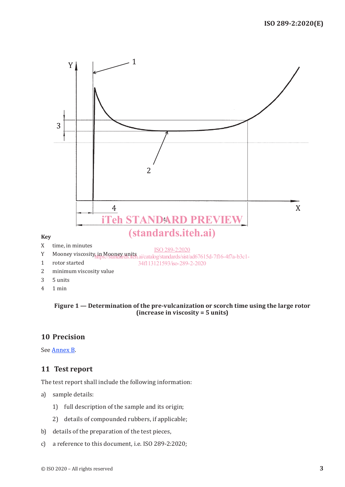

- 1 rotor started 34f113121593/iso-289-2-2020
- 2 minimum viscosity value
- 3 5 units
- 4 1 min

#### **Figure 1 — Determination of the pre-vulcanization or scorch time using the large rotor (increase in viscosity = 5 units)**

#### **10 Precision**

See Annex B.

#### **11 Test report**

The test report shall include the following information:

- a) sample details:
	- 1) full description of the sample and its origin;
	- 2) details of compounded rubbers, if applicable;
- b) details of the preparation of the test pieces,
- c) a reference to this document, i.e. ISO 289-2:2020;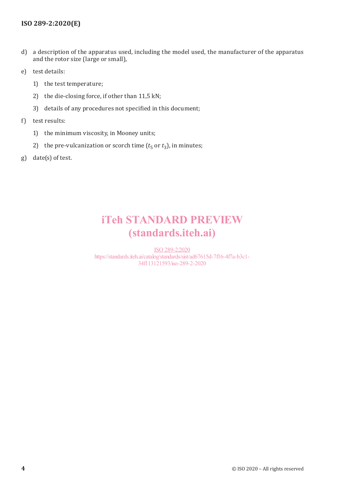- d) a description of the apparatus used, including the model used, the manufacturer of the apparatus and the rotor size (large or small),
- e) test details:
	- 1) the test temperature;
	- 2) the die-closing force, if other than 11,5 kN;
	- 3) details of any procedures not specified in this document;
- f) test results:
	- 1) the minimum viscosity, in Mooney units;
	- 2) the pre-vulcanization or scorch time  $(t_5$  or  $t_3$ ), in minutes;
- g) date(s) of test.

## iTeh STANDARD PREVIEW (standards.iteh.ai)

ISO 289-2:2020 https://standards.iteh.ai/catalog/standards/sist/ad67615d-7f16-4f7a-b3c1- 34f113121593/iso-289-2-2020